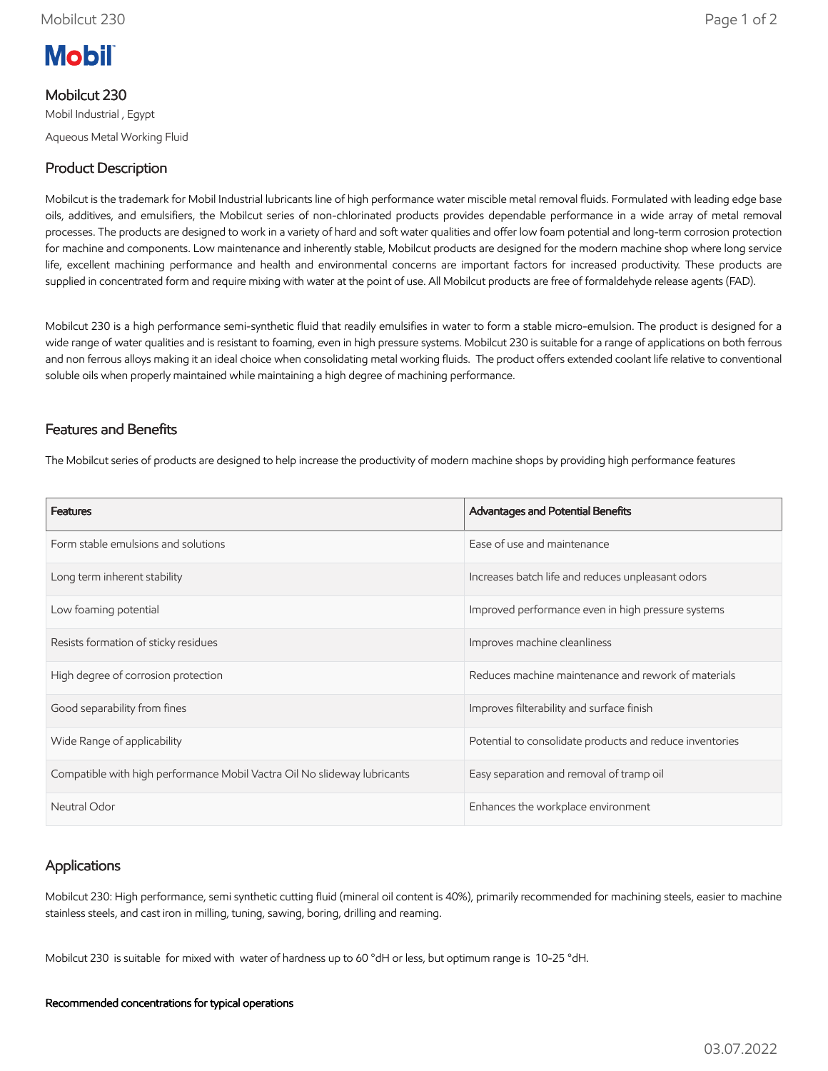

# Mobilcut 230

Mobil Industrial , Egypt Aqueous Metal Working Fluid

# Product Description

Mobilcut is the trademark for Mobil Industrial lubricants line of high performance water miscible metal removal fluids. Formulated with leading edge base oils, additives, and emulsifiers, the Mobilcut series of non-chlorinated products provides dependable performance in a wide array of metal removal processes. The products are designed to work in a variety of hard and soft water qualities and offer low foam potential and long-term corrosion protection for machine and components. Low maintenance and inherently stable, Mobilcut products are designed for the modern machine shop where long service life, excellent machining performance and health and environmental concerns are important factors for increased productivity. These products are supplied in concentrated form and require mixing with water at the point of use. All Mobilcut products are free of formaldehyde release agents (FAD).

Mobilcut 230 is a high performance semi-synthetic fluid that readily emulsifies in water to form a stable micro-emulsion. The product is designed for a wide range of water qualities and is resistant to foaming, even in high pressure systems. Mobilcut 230 is suitable for a range of applications on both ferrous and non ferrous alloys making it an ideal choice when consolidating metal working fluids. The product offers extended coolant life relative to conventional soluble oils when properly maintained while maintaining a high degree of machining performance.

## Features and Benefits

The Mobilcut series of products are designed to help increase the productivity of modern machine shops by providing high performance features

| <b>Features</b>                                                          | Advantages and Potential Benefits                        |
|--------------------------------------------------------------------------|----------------------------------------------------------|
| Form stable emulsions and solutions                                      | Ease of use and maintenance                              |
| Long term inherent stability                                             | Increases batch life and reduces unpleasant odors        |
| Low foaming potential                                                    | Improved performance even in high pressure systems       |
| Resists formation of sticky residues                                     | Improves machine cleanliness                             |
| High degree of corrosion protection                                      | Reduces machine maintenance and rework of materials      |
| Good separability from fines                                             | Improves filterability and surface finish                |
| Wide Range of applicability                                              | Potential to consolidate products and reduce inventories |
| Compatible with high performance Mobil Vactra Oil No slideway lubricants | Easy separation and removal of tramp oil                 |
| Neutral Odor                                                             | Enhances the workplace environment                       |

# Applications

Mobilcut 230: High performance, semi synthetic cutting fluid (mineral oil content is 40%), primarily recommended for machining steels, easier to machine stainless steels, and cast iron in milling, tuning, sawing, boring, drilling and reaming.

Mobilcut 230 is suitable for mixed with water of hardness up to 60 °dH or less, but optimum range is 10-25 °dH.